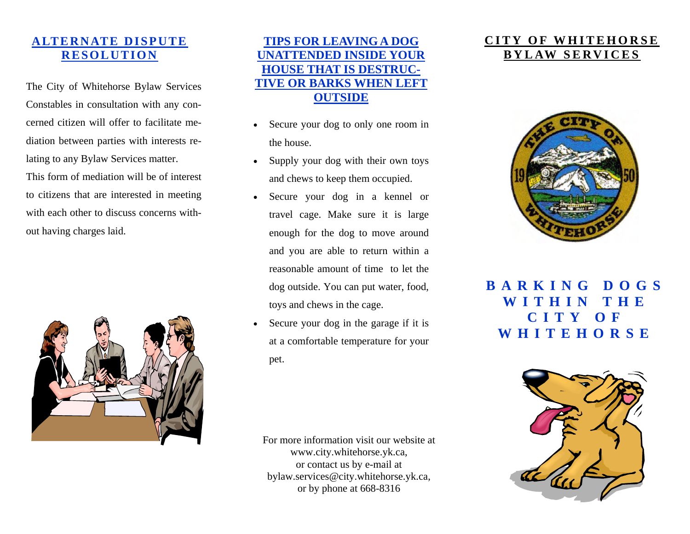### **ALTERNATE DISPUTE RESOLUTION**

The City of Whitehorse Bylaw Services Constables in consultation with any concerned citizen will offer to facilitate mediation between parties with interests relating to any Bylaw Services matter. This form of mediation will be of interest to citizens that are interested in meeting with each other to discuss concerns without having charges laid.



#### **TIPS FOR LEAVING A DOG UNATTENDED INSIDE YOUR HOUSE THAT IS DESTRUC-TIVE OR BARKS WHEN LEFT OUTSIDE**

- Secure your dog to only one room in the house.
- Supply your dog with their own toys and chews to keep them occupied.
- Secure your dog in a kennel or travel cage. Make sure it is large enough for the dog to move around and you are able to return within a reasonable amount of time to let the dog outside. You can put water, food, toys and chews in the cage.
- Secure your dog in the garage if it is at a comfortable temperature for your pet.

For more information visit our website at www.city.whitehorse.yk.ca, or contact us by e-mail at bylaw.services@city.whitehorse.yk.ca, or by phone at 668-8316

### **CITY OF WHITEHORSE BYLAW SERVICES**



**BARKING DOGS WITHIN THE CITY OF WHITEHORSE**